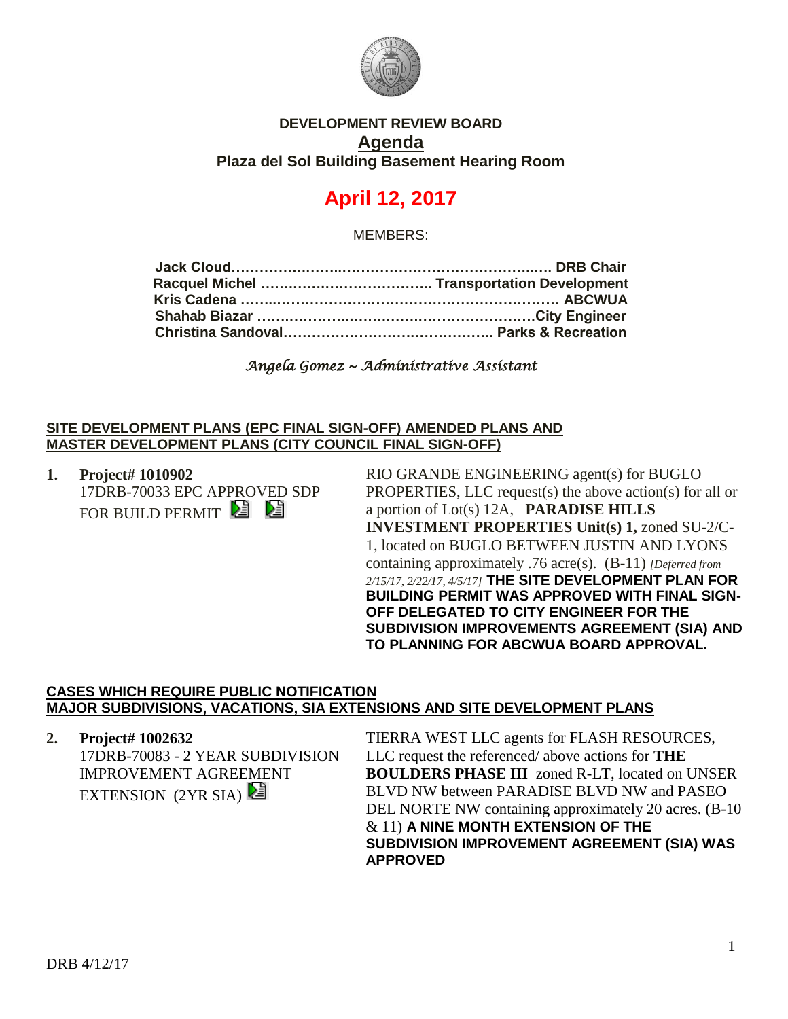

## **DEVELOPMENT REVIEW BOARD Agenda Plaza del Sol Building Basement Hearing Room**

# **April 12, 2017**

MEMBERS:

*Angela Gomez ~ Administrative Assistant* 

#### **SITE DEVELOPMENT PLANS (EPC FINAL SIGN-OFF) AMENDED PLANS AND MASTER DEVELOPMENT PLANS (CITY COUNCIL FINAL SIGN-OFF)**

**1. Project# 1010902** 17DRB-70033 EPC APPROVED SDP FOR BUILD PERMIT **E** 

RIO GRANDE ENGINEERING agent(s) for BUGLO PROPERTIES, LLC request(s) the above action(s) for all or a portion of Lot(s) 12A, **PARADISE HILLS INVESTMENT PROPERTIES Unit(s) 1,** zoned SU-2/C-1, located on BUGLO BETWEEN JUSTIN AND LYONS containing approximately .76 acre(s). (B-11) *[Deferred from 2/15/17, 2/22/17, 4/5/17]* **THE SITE DEVELOPMENT PLAN FOR BUILDING PERMIT WAS APPROVED WITH FINAL SIGN-OFF DELEGATED TO CITY ENGINEER FOR THE SUBDIVISION IMPROVEMENTS AGREEMENT (SIA) AND TO PLANNING FOR ABCWUA BOARD APPROVAL.**

#### **CASES WHICH REQUIRE PUBLIC NOTIFICATION MAJOR SUBDIVISIONS, VACATIONS, SIA EXTENSIONS AND SITE DEVELOPMENT PLANS**

**2. Project# 1002632** 17DRB-70083 - 2 YEAR SUBDIVISION IMPROVEMENT AGREEMENT EXTENSION (2YR SIA)

TIERRA WEST LLC agents for FLASH RESOURCES, LLC request the referenced/ above actions for **THE BOULDERS PHASE III** zoned R-LT, located on UNSER BLVD NW between PARADISE BLVD NW and PASEO DEL NORTE NW containing approximately 20 acres. (B-10 & 11) **A NINE MONTH EXTENSION OF THE SUBDIVISION IMPROVEMENT AGREEMENT (SIA) WAS APPROVED**